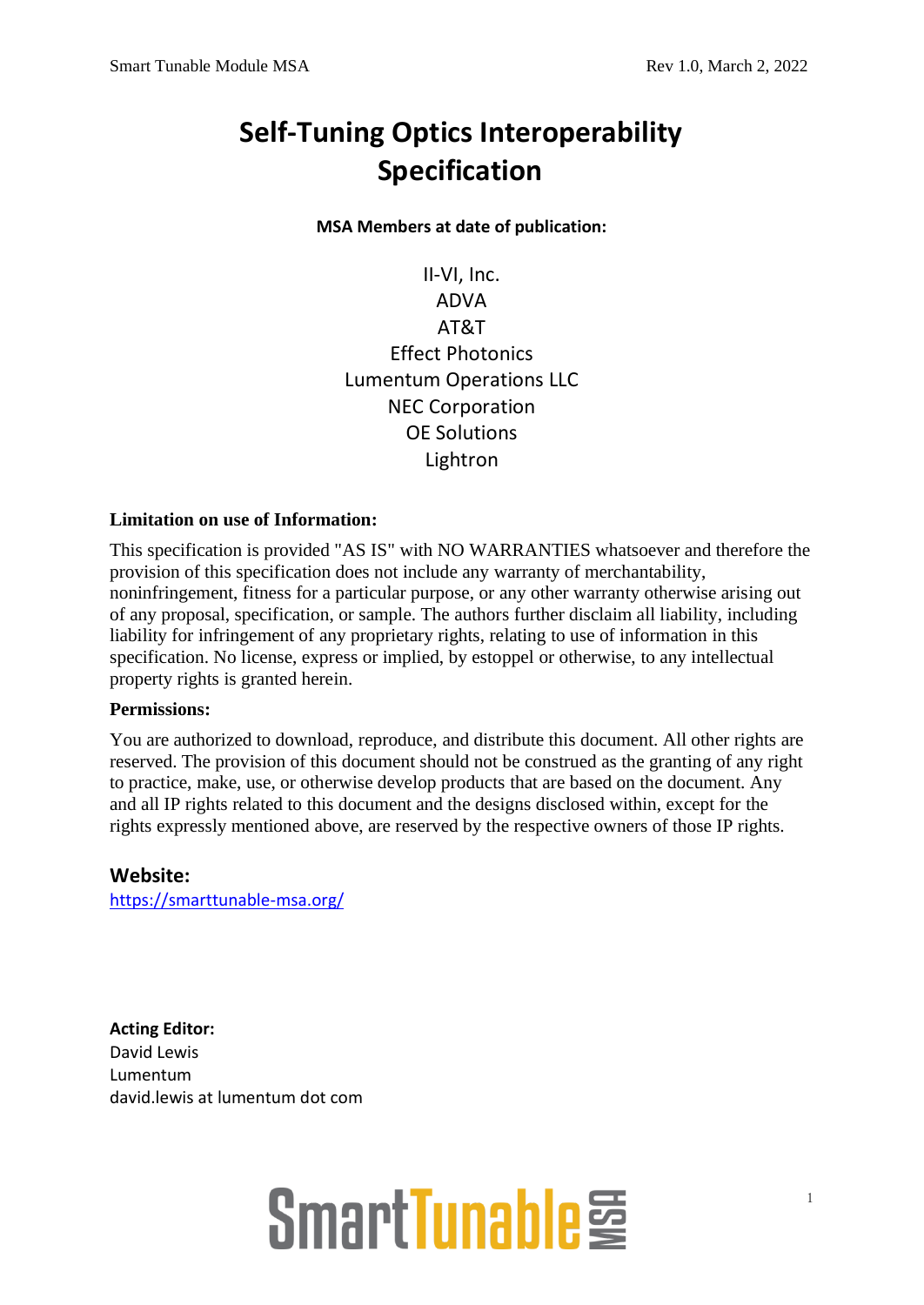### **Self-Tuning Optics Interoperability Specification**

**MSA Members at date of publication:**

II-VI, Inc. ADVA AT&T Effect Photonics Lumentum Operations LLC NEC Corporation OE Solutions Lightron

#### **Limitation on use of Information:**

This specification is provided "AS IS" with NO WARRANTIES whatsoever and therefore the provision of this specification does not include any warranty of merchantability, noninfringement, fitness for a particular purpose, or any other warranty otherwise arising out of any proposal, specification, or sample. The authors further disclaim all liability, including liability for infringement of any proprietary rights, relating to use of information in this specification. No license, express or implied, by estoppel or otherwise, to any intellectual property rights is granted herein.

### **Permissions:**

You are authorized to download, reproduce, and distribute this document. All other rights are reserved. The provision of this document should not be construed as the granting of any right to practice, make, use, or otherwise develop products that are based on the document. Any and all IP rights related to this document and the designs disclosed within, except for the rights expressly mentioned above, are reserved by the respective owners of those IP rights.

### **Website:**

<https://smarttunable-msa.org/>

**Acting Editor:** David Lewis Lumentum david.lewis at lumentum dot com

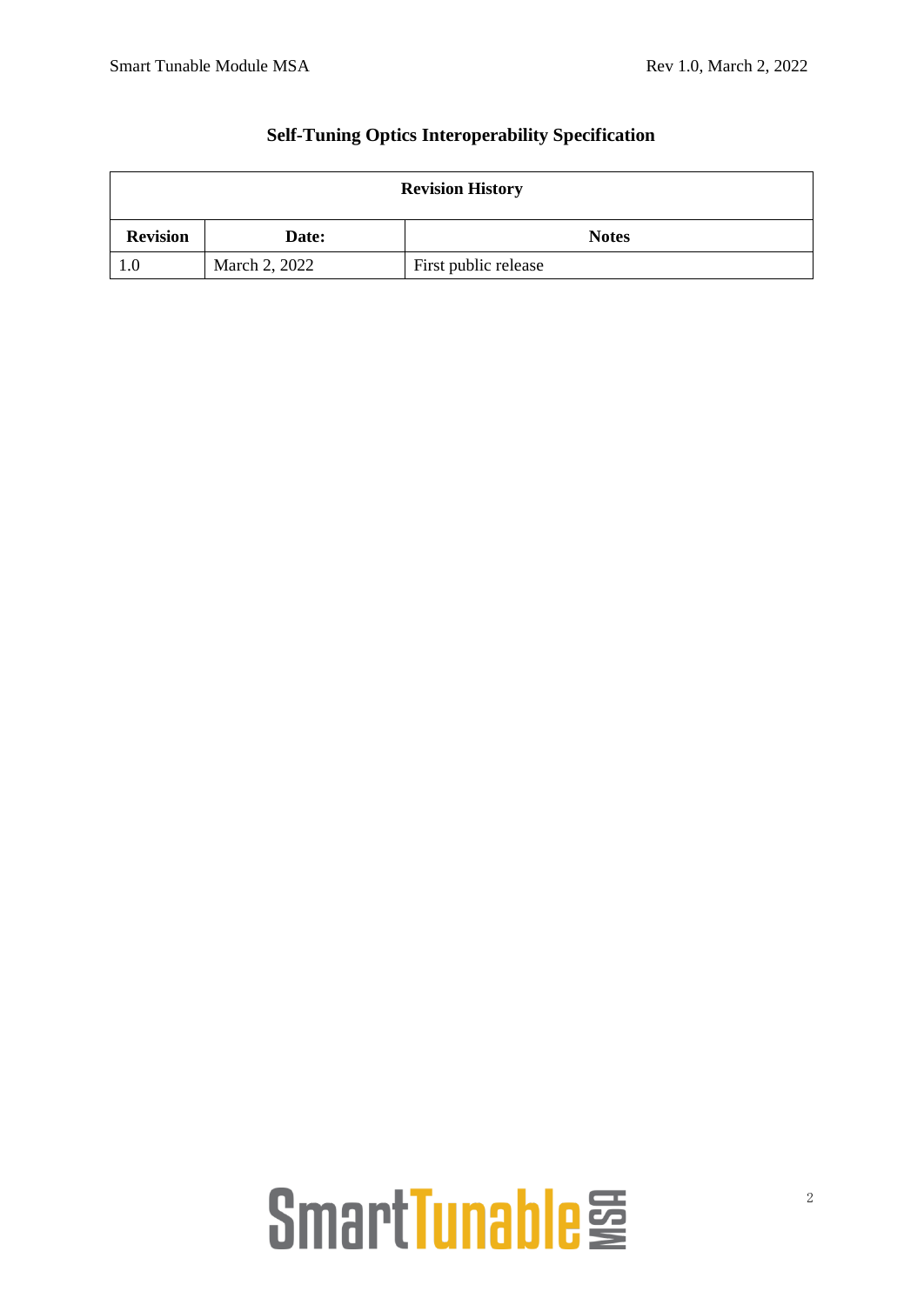| <b>Revision History</b> |               |                      |  |  |  |  |  |
|-------------------------|---------------|----------------------|--|--|--|--|--|
| <b>Revision</b>         | Date:         | <b>Notes</b>         |  |  |  |  |  |
| 1.0                     | March 2, 2022 | First public release |  |  |  |  |  |

### **Self-Tuning Optics Interoperability Specification**

### SmartTunable<sup>臺</sup>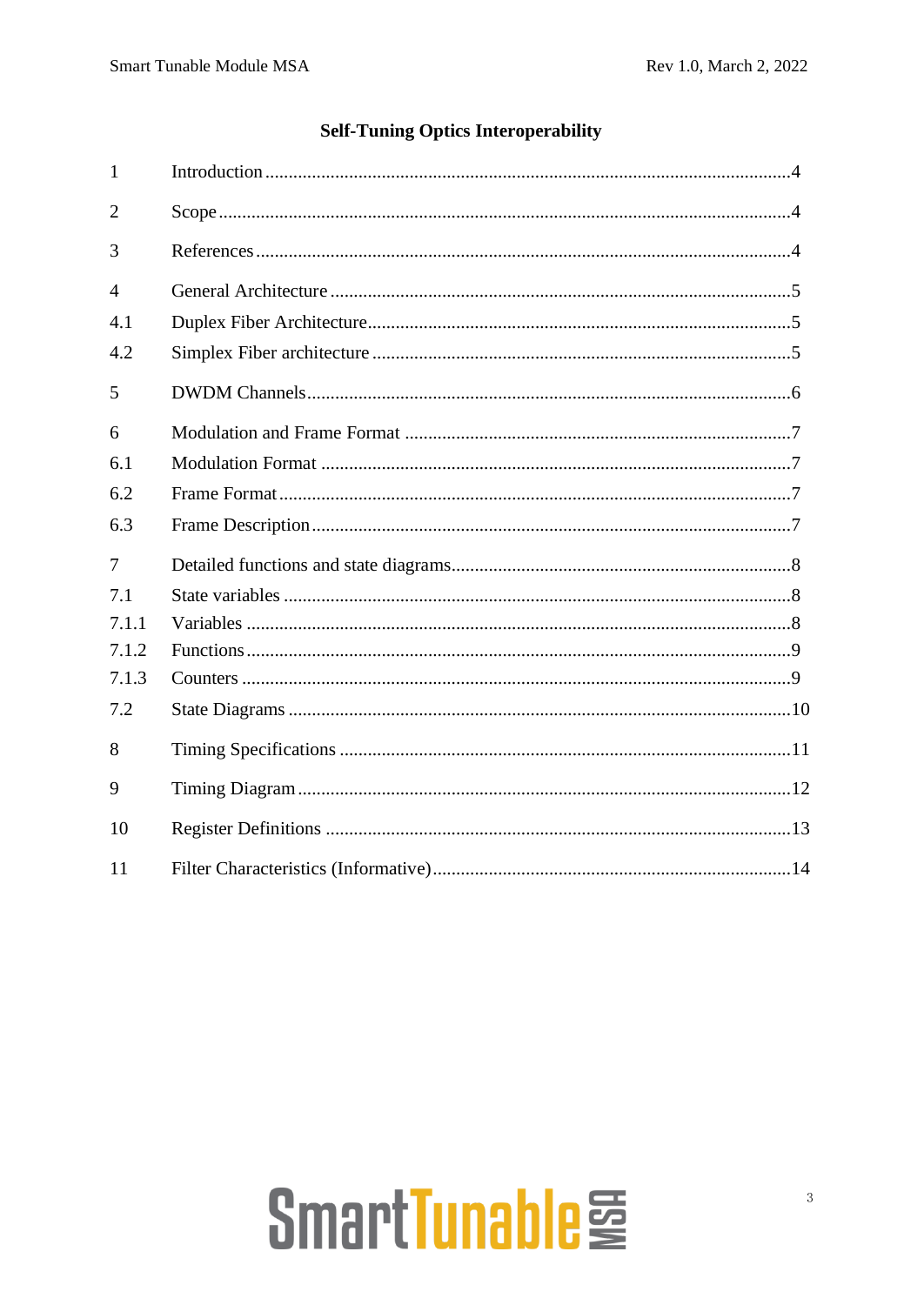### **Self-Tuning Optics Interoperability**

| $\mathbf{1}$   |  |
|----------------|--|
| $\overline{2}$ |  |
| 3              |  |
| 4              |  |
| 4.1            |  |
| 4.2            |  |
| 5              |  |
| 6              |  |
| 6.1            |  |
| 6.2            |  |
| 6.3            |  |
| 7              |  |
| 7.1            |  |
| 7.1.1          |  |
| 7.1.2          |  |
| 7.1.3          |  |
| 7.2            |  |
| 8              |  |
| 9              |  |
| 10             |  |
| 11             |  |

# SmartTunable<sup>臺</sup>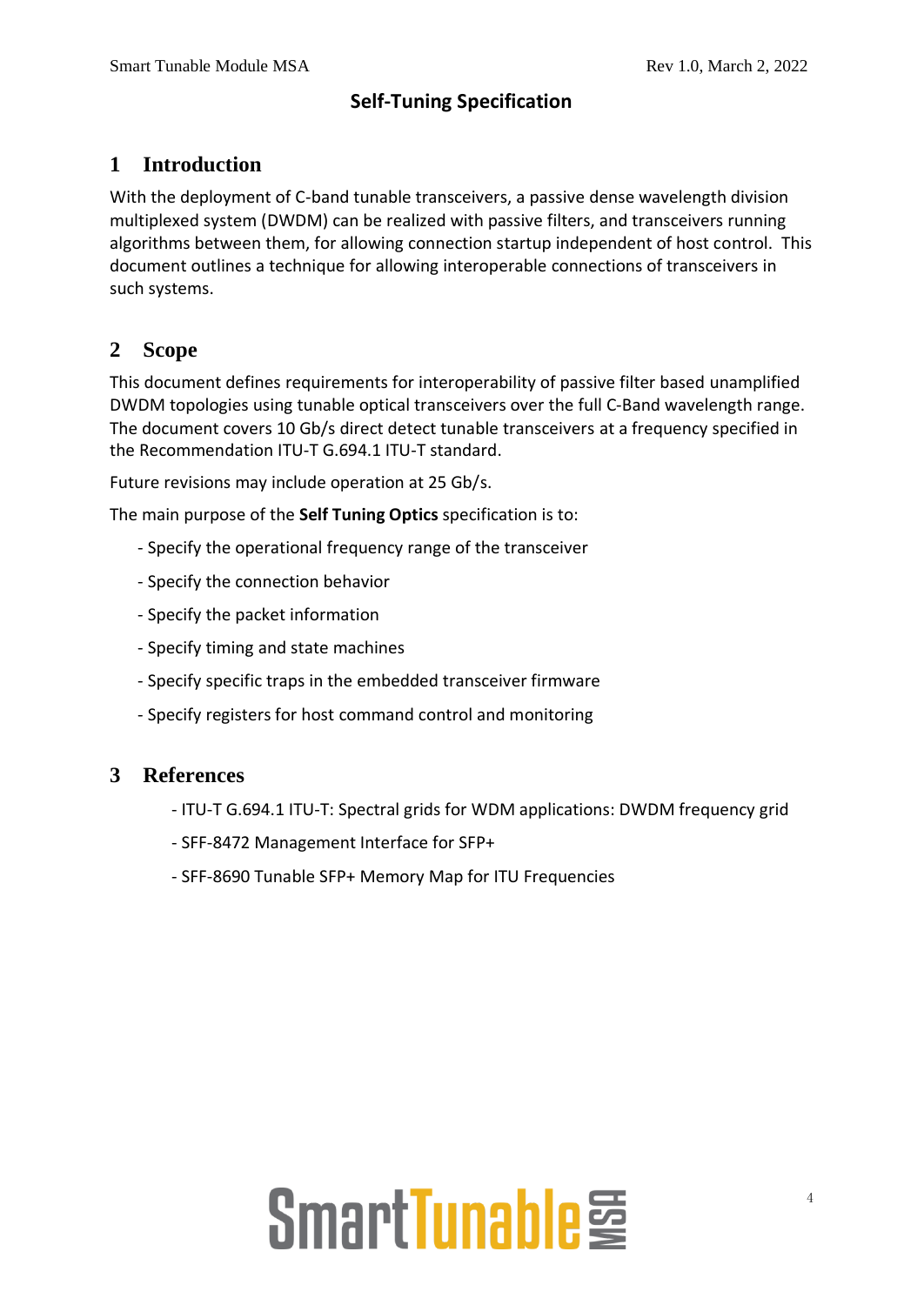### **Self-Tuning Specification**

### **1 Introduction**

With the deployment of C-band tunable transceivers, a passive dense wavelength division multiplexed system (DWDM) can be realized with passive filters, and transceivers running algorithms between them, for allowing connection startup independent of host control. This document outlines a technique for allowing interoperable connections of transceivers in such systems.

### **2 Scope**

This document defines requirements for interoperability of passive filter based unamplified DWDM topologies using tunable optical transceivers over the full C-Band wavelength range. The document covers 10 Gb/s direct detect tunable transceivers at a frequency specified in the Recommendation ITU-T G.694.1 ITU-T standard.

Future revisions may include operation at 25 Gb/s.

The main purpose of the **Self Tuning Optics** specification is to:

- Specify the operational frequency range of the transceiver
- Specify the connection behavior
- Specify the packet information
- Specify timing and state machines
- Specify specific traps in the embedded transceiver firmware
- Specify registers for host command control and monitoring

### **3 References**

- ITU-T G.694.1 ITU-T: Spectral grids for WDM applications: DWDM frequency grid
- SFF-8472 Management Interface for SFP+
- SFF-8690 Tunable SFP+ Memory Map for ITU Frequencies

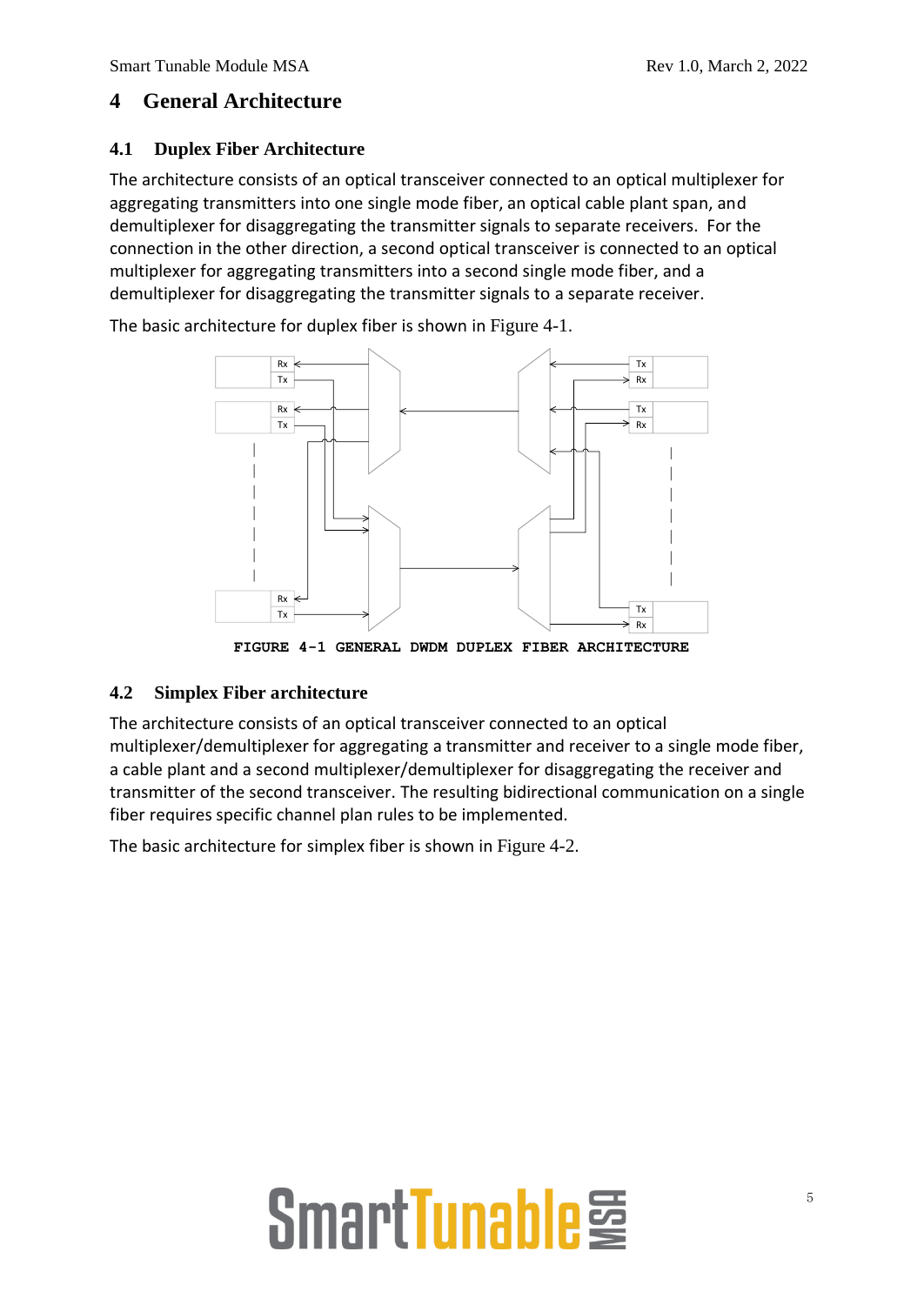### **4 General Architecture**

### **4.1 Duplex Fiber Architecture**

The architecture consists of an optical transceiver connected to an optical multiplexer for aggregating transmitters into one single mode fiber, an optical cable plant span, and demultiplexer for disaggregating the transmitter signals to separate receivers. For the connection in the other direction, a second optical transceiver is connected to an optical multiplexer for aggregating transmitters into a second single mode fiber, and a demultiplexer for disaggregating the transmitter signals to a separate receiver.

The basic architecture for duplex fiber is shown in [Figure 4-1](#page-4-0).



**FIGURE 4-1 GENERAL DWDM DUPLEX FIBER ARCHITECTURE**

### <span id="page-4-0"></span>**4.2 Simplex Fiber architecture**

The architecture consists of an optical transceiver connected to an optical multiplexer/demultiplexer for aggregating a transmitter and receiver to a single mode fiber, a cable plant and a second multiplexer/demultiplexer for disaggregating the receiver and transmitter of the second transceiver. The resulting bidirectional communication on a single fiber requires specific channel plan rules to be implemented.

The basic architecture for simplex fiber is shown in [Figure 4-2](#page-5-0).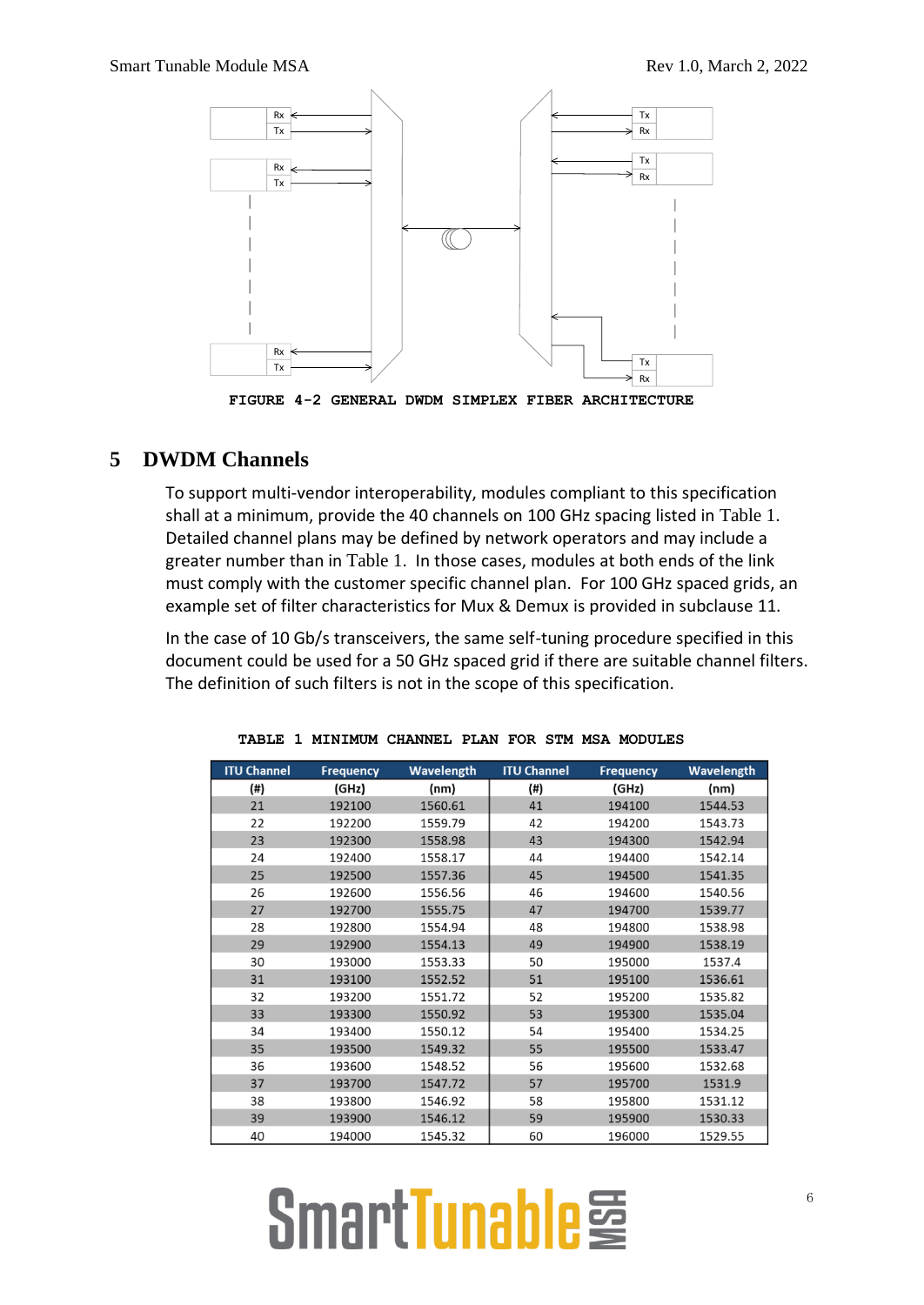

**FIGURE 4-2 GENERAL DWDM SIMPLEX FIBER ARCHITECTURE**

### <span id="page-5-0"></span>**5 DWDM Channels**

To support multi-vendor interoperability, modules compliant to this specification shall at a minimum, provide the 40 channels on 100 GHz spacing listed in [Table 1](#page-5-1). Detailed channel plans may be defined by network operators and may include a greater number than in [Table 1](#page-5-1). In those cases, modules at both ends of the link must comply with the customer specific channel plan. For 100 GHz spaced grids, an example set of filter characteristics for Mux & Demux is provided in subclause [11.](#page-13-0)

In the case of 10 Gb/s transceivers, the same self-tuning procedure specified in this document could be used for a 50 GHz spaced grid if there are suitable channel filters. The definition of such filters is not in the scope of this specification.

<span id="page-5-1"></span>

| <b>ITU Channel</b> | <b>Frequency</b> | <b>Wavelength</b> | <b>ITU Channel</b> | <b>Frequency</b> | Wavelength |
|--------------------|------------------|-------------------|--------------------|------------------|------------|
| (#)                | (GHz)            | (nm)              | (#)                | (GHz)            | (nm)       |
| 21                 | 192100           | 1560.61           | 41                 | 194100           | 1544.53    |
| 22                 | 192200           | 1559.79           | 42                 | 194200           | 1543.73    |
| 23                 | 192300           | 1558.98           | 43                 | 194300           | 1542.94    |
| 24                 | 192400           | 1558.17           | 44                 | 194400           | 1542.14    |
| 25                 | 192500           | 1557.36           | 45                 | 194500           | 1541.35    |
| 26                 | 192600           | 1556.56           | 46                 | 194600           | 1540.56    |
| 27                 | 192700           | 1555.75           | 47                 | 194700           | 1539.77    |
| 28                 | 192800           | 1554.94           | 48                 | 194800           | 1538.98    |
| 29                 | 192900           | 1554.13           | 49                 | 194900           | 1538.19    |
| 30                 | 193000           | 1553.33           | 50                 | 195000           | 1537.4     |
| 31                 | 193100           | 1552.52           | 51                 | 195100           | 1536.61    |
| 32                 | 193200           | 1551.72           | 52                 | 195200           | 1535.82    |
| 33                 | 193300           | 1550.92           | 53                 | 195300           | 1535.04    |
| 34                 | 193400           | 1550.12           | 54                 | 195400           | 1534.25    |
| 35                 | 193500           | 1549.32           | 55                 | 195500           | 1533.47    |
| 36                 | 193600           | 1548.52           | 56                 | 195600           | 1532.68    |
| 37                 | 193700           | 1547.72           | 57                 | 195700           | 1531.9     |
| 38                 | 193800           | 1546.92           | 58                 | 195800           | 1531.12    |
| 39                 | 193900           | 1546.12           | 59                 | 195900           | 1530.33    |
| 40                 | 194000           | 1545.32           | 60                 | 196000           | 1529.55    |

|  | TABLE 1 MINIMUM CHANNEL PLAN FOR STM MSA MODULES |  |  |  |
|--|--------------------------------------------------|--|--|--|
|  |                                                  |  |  |  |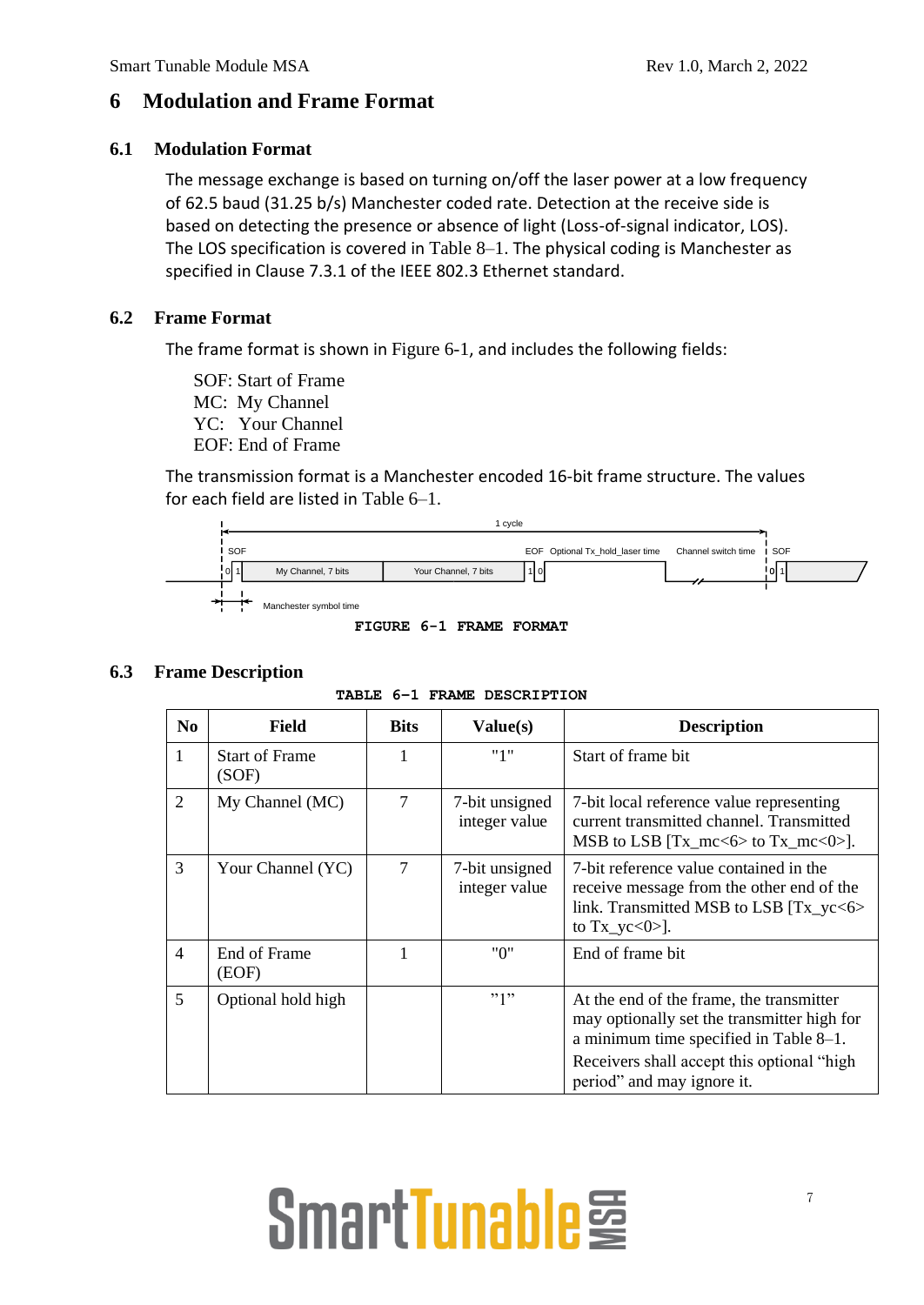### **6 Modulation and Frame Format**

### **6.1 Modulation Format**

The message exchange is based on turning on/off the laser power at a low frequency of 62.5 baud (31.25 b/s) Manchester coded rate. Detection at the receive side is based on detecting the presence or absence of light (Loss-of-signal indicator, LOS). The LOS specification is covered in [Table 8–1](#page-10-0). The physical coding is Manchester as specified in Clause 7.3.1 of the IEEE 802.3 Ethernet standard.

### **6.2 Frame Format**

The frame format is shown in [Figure 6-1](#page-6-0), and includes the following fields:

SOF: Start of Frame MC: My Channel YC: Your Channel EOF: End of Frame

The transmission format is a Manchester encoded 16-bit frame structure. The values for each field are listed in [Table 6–1](#page-6-1).



**FIGURE 6-1 FRAME FORMAT**

### <span id="page-6-1"></span><span id="page-6-0"></span>**6.3 Frame Description**

| N <sub>0</sub> | Field                          | <b>Bits</b> | Value(s)                        | <b>Description</b>                                                                                                                                                                                            |
|----------------|--------------------------------|-------------|---------------------------------|---------------------------------------------------------------------------------------------------------------------------------------------------------------------------------------------------------------|
| 1              | <b>Start of Frame</b><br>(SOF) |             | "1"                             | Start of frame bit                                                                                                                                                                                            |
| $\overline{2}$ | My Channel (MC)                | 7           | 7-bit unsigned<br>integer value | 7-bit local reference value representing<br>current transmitted channel. Transmitted<br>MSB to LSB $[Tx_mcc<6>$ to $Tx_mcc<0>$ .                                                                              |
| 3              | Your Channel (YC)              | 7           | 7-bit unsigned<br>integer value | 7-bit reference value contained in the<br>receive message from the other end of the<br>link. Transmitted MSB to LSB [Tx_yc<6><br>to $Tx_yc<0>$ ].                                                             |
| 4              | End of Frame<br>(EOF)          |             | "በ"                             | End of frame bit                                                                                                                                                                                              |
| 5              | Optional hold high             |             | "1"                             | At the end of the frame, the transmitter<br>may optionally set the transmitter high for<br>a minimum time specified in Table 8-1.<br>Receivers shall accept this optional "high<br>period" and may ignore it. |

**TABLE 6–1 FRAME DESCRIPTION**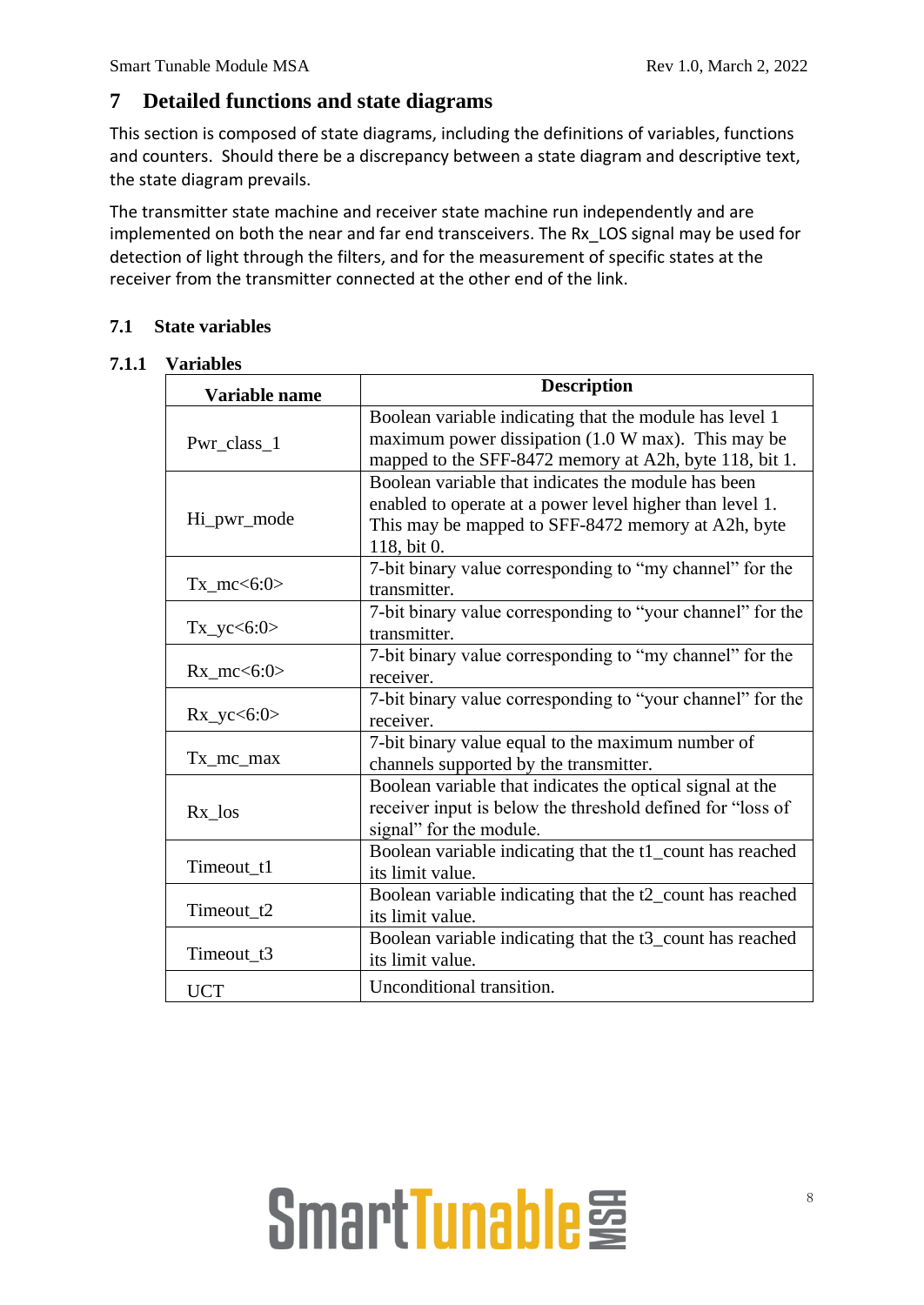### **7 Detailed functions and state diagrams**

This section is composed of state diagrams, including the definitions of variables, functions and counters. Should there be a discrepancy between a state diagram and descriptive text, the state diagram prevails.

The transmitter state machine and receiver state machine run independently and are implemented on both the near and far end transceivers. The Rx\_LOS signal may be used for detection of light through the filters, and for the measurement of specific states at the receiver from the transmitter connected at the other end of the link.

### **7.1 State variables**

### **7.1.1 Variables**

| Variable name            | <b>Description</b>                                                                                                                                                                   |
|--------------------------|--------------------------------------------------------------------------------------------------------------------------------------------------------------------------------------|
| Pwr_class_1              | Boolean variable indicating that the module has level 1<br>maximum power dissipation $(1.0 \text{ W max})$ . This may be<br>mapped to the SFF-8472 memory at A2h, byte 118, bit 1.   |
| Hi_pwr_mode              | Boolean variable that indicates the module has been<br>enabled to operate at a power level higher than level 1.<br>This may be mapped to SFF-8472 memory at A2h, byte<br>118, bit 0. |
| $Tx_{\text{mc}} < 6:0 >$ | 7-bit binary value corresponding to "my channel" for the<br>transmitter.                                                                                                             |
| $Tx_yc < 6:0>$           | 7-bit binary value corresponding to "your channel" for the<br>transmitter.                                                                                                           |
| $Rx_mc < 6:0>$           | 7-bit binary value corresponding to "my channel" for the<br>receiver.                                                                                                                |
| $Rx_yc < 6:0>$           | 7-bit binary value corresponding to "your channel" for the<br>receiver.                                                                                                              |
| $Tx_{mc}$ $max$          | 7-bit binary value equal to the maximum number of<br>channels supported by the transmitter.                                                                                          |
| $Rx\_{los}$              | Boolean variable that indicates the optical signal at the<br>receiver input is below the threshold defined for "loss of<br>signal" for the module.                                   |
| Timeout_t1               | Boolean variable indicating that the t1_count has reached<br>its limit value.                                                                                                        |
| Timeout_t2               | Boolean variable indicating that the t2_count has reached<br>its limit value.                                                                                                        |
| Timeout t3               | Boolean variable indicating that the t3_count has reached<br>its limit value.                                                                                                        |
| <b>UCT</b>               | Unconditional transition.                                                                                                                                                            |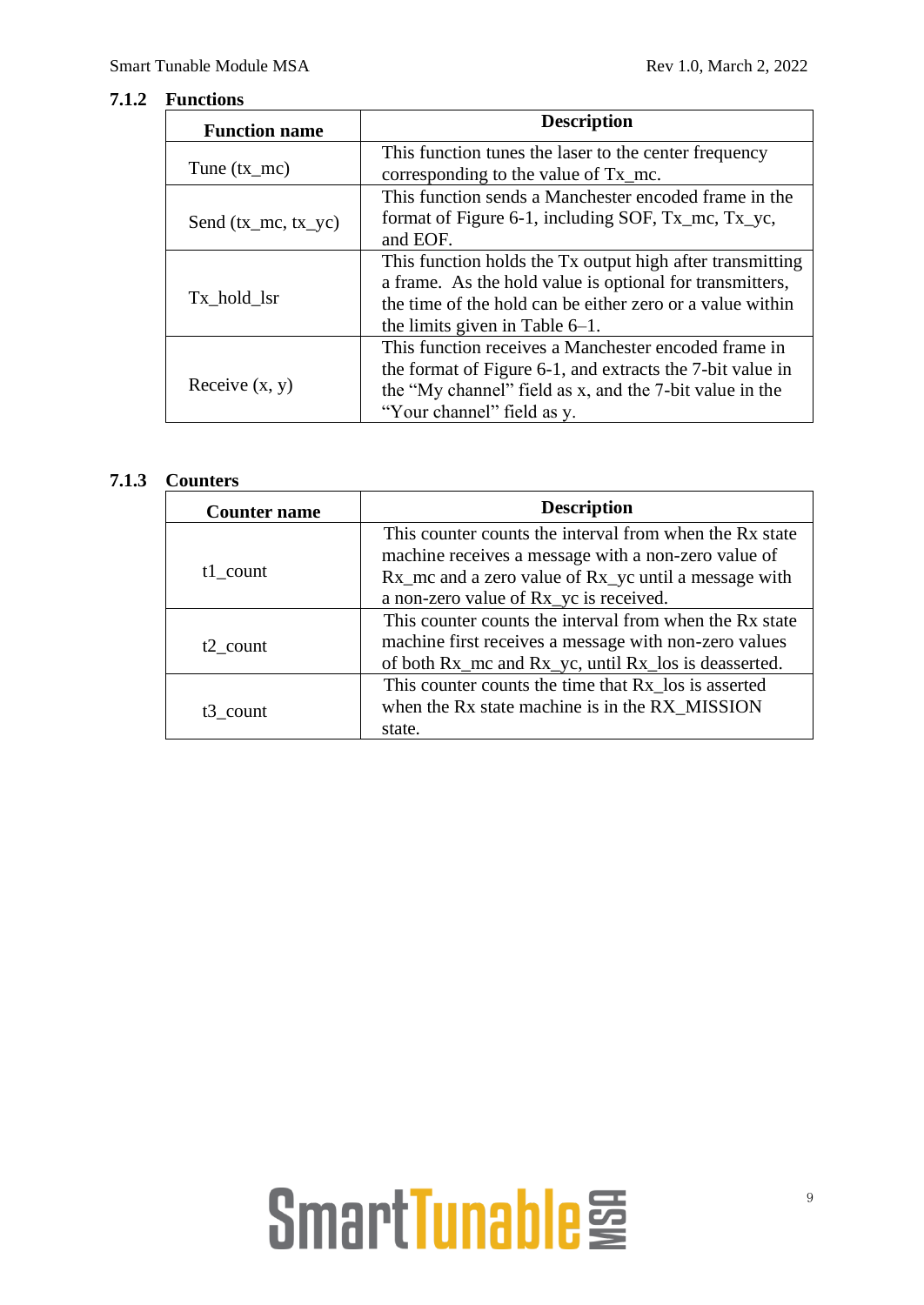### **7.1.2 Functions**

| <b>Function name</b>  | <b>Description</b>                                        |  |  |  |
|-----------------------|-----------------------------------------------------------|--|--|--|
|                       | This function tunes the laser to the center frequency     |  |  |  |
| Tune $(tx_mc)$        | corresponding to the value of Tx_mc.                      |  |  |  |
|                       | This function sends a Manchester encoded frame in the     |  |  |  |
| Send $(tx_mc, tx_yc)$ | format of Figure 6-1, including SOF, Tx_mc, Tx_yc,        |  |  |  |
|                       | and EOF.                                                  |  |  |  |
|                       | This function holds the Tx output high after transmitting |  |  |  |
|                       | a frame. As the hold value is optional for transmitters,  |  |  |  |
| Tx hold lsr           | the time of the hold can be either zero or a value within |  |  |  |
|                       | the limits given in Table $6-1$ .                         |  |  |  |
|                       | This function receives a Manchester encoded frame in      |  |  |  |
|                       | the format of Figure 6-1, and extracts the 7-bit value in |  |  |  |
| Receive $(x, y)$      | the "My channel" field as x, and the 7-bit value in the   |  |  |  |
|                       | "Your channel" field as y.                                |  |  |  |

### **7.1.3 Counters**

| <b>Counter name</b>  | <b>Description</b>                                      |
|----------------------|---------------------------------------------------------|
|                      | This counter counts the interval from when the Rx state |
|                      | machine receives a message with a non-zero value of     |
| t1 count             | Rx_mc and a zero value of Rx_yc until a message with    |
|                      | a non-zero value of Rx yc is received.                  |
|                      | This counter counts the interval from when the Rx state |
| $t2$ count           | machine first receives a message with non-zero values   |
|                      | of both Rx_mc and Rx_yc, until Rx_los is deasserted.    |
|                      | This counter counts the time that Rx los is asserted    |
| t <sub>3</sub> count | when the Rx state machine is in the RX_MISSION          |
|                      | state.                                                  |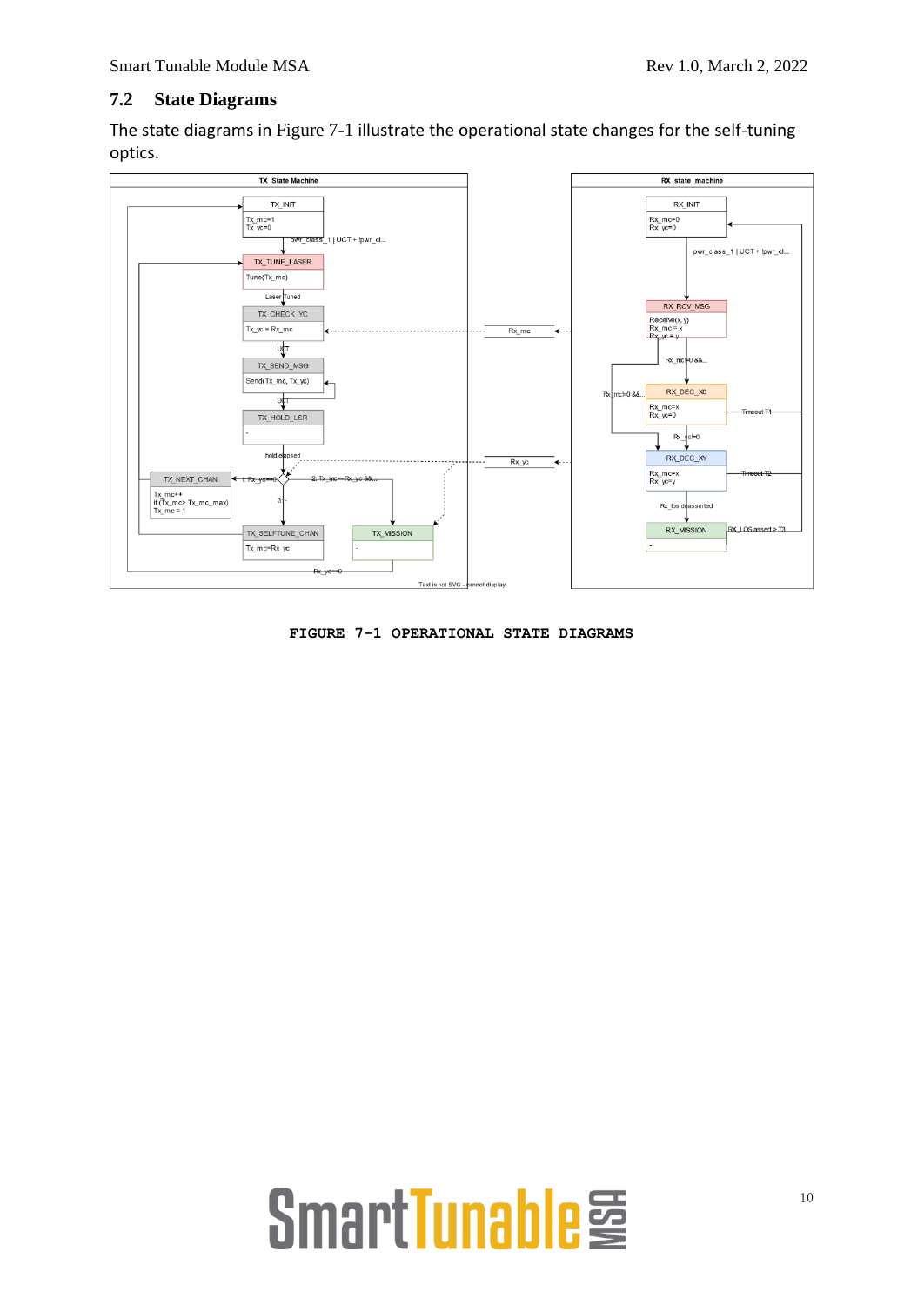### **7.2 State Diagrams**

The state diagrams in [Figure 7-1](#page-9-0) illustrate the operational state changes for the self-tuning optics.



<span id="page-9-0"></span>**FIGURE 7-1 OPERATIONAL STATE DIAGRAMS**

# SmartTunable<sup>j</sup>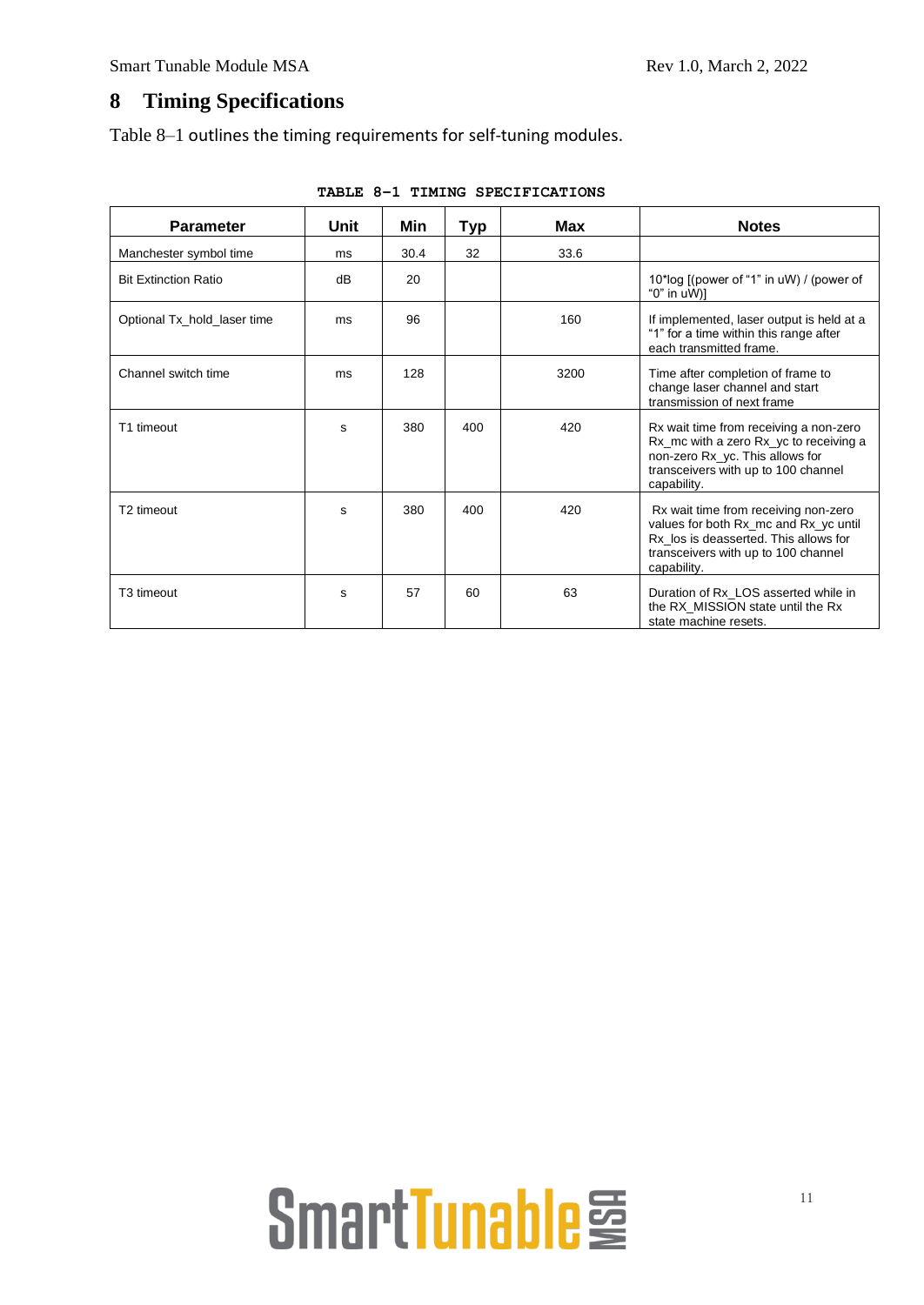### **8 Timing Specifications**

[Table 8–1](#page-10-0) outlines the timing requirements for self-tuning modules.

<span id="page-10-0"></span>

| <b>Parameter</b>            | Unit | Min  | Typ | Max  | <b>Notes</b>                                                                                                                                                                 |
|-----------------------------|------|------|-----|------|------------------------------------------------------------------------------------------------------------------------------------------------------------------------------|
| Manchester symbol time      | ms   | 30.4 | 32  | 33.6 |                                                                                                                                                                              |
| <b>Bit Extinction Ratio</b> | dB   | 20   |     |      | 10*log [(power of "1" in uW) / (power of<br>"0" in $u(W)$ ]                                                                                                                  |
| Optional Tx_hold_laser time | ms   | 96   |     | 160  | If implemented, laser output is held at a<br>"1" for a time within this range after<br>each transmitted frame.                                                               |
| Channel switch time         | ms   | 128  |     | 3200 | Time after completion of frame to<br>change laser channel and start<br>transmission of next frame                                                                            |
| T1 timeout                  | S    | 380  | 400 | 420  | Rx wait time from receiving a non-zero<br>Rx_mc with a zero Rx_yc to receiving a<br>non-zero Rx_yc. This allows for<br>transceivers with up to 100 channel<br>capability.    |
| T2 timeout                  | S    | 380  | 400 | 420  | Rx wait time from receiving non-zero<br>values for both Rx_mc and Rx_yc until<br>Rx_los is deasserted. This allows for<br>transceivers with up to 100 channel<br>capability. |
| T3 timeout                  | s    | 57   | 60  | 63   | Duration of Rx LOS asserted while in<br>the RX_MISSION state until the Rx<br>state machine resets.                                                                           |

**TABLE 8–1 TIMING SPECIFICATIONS**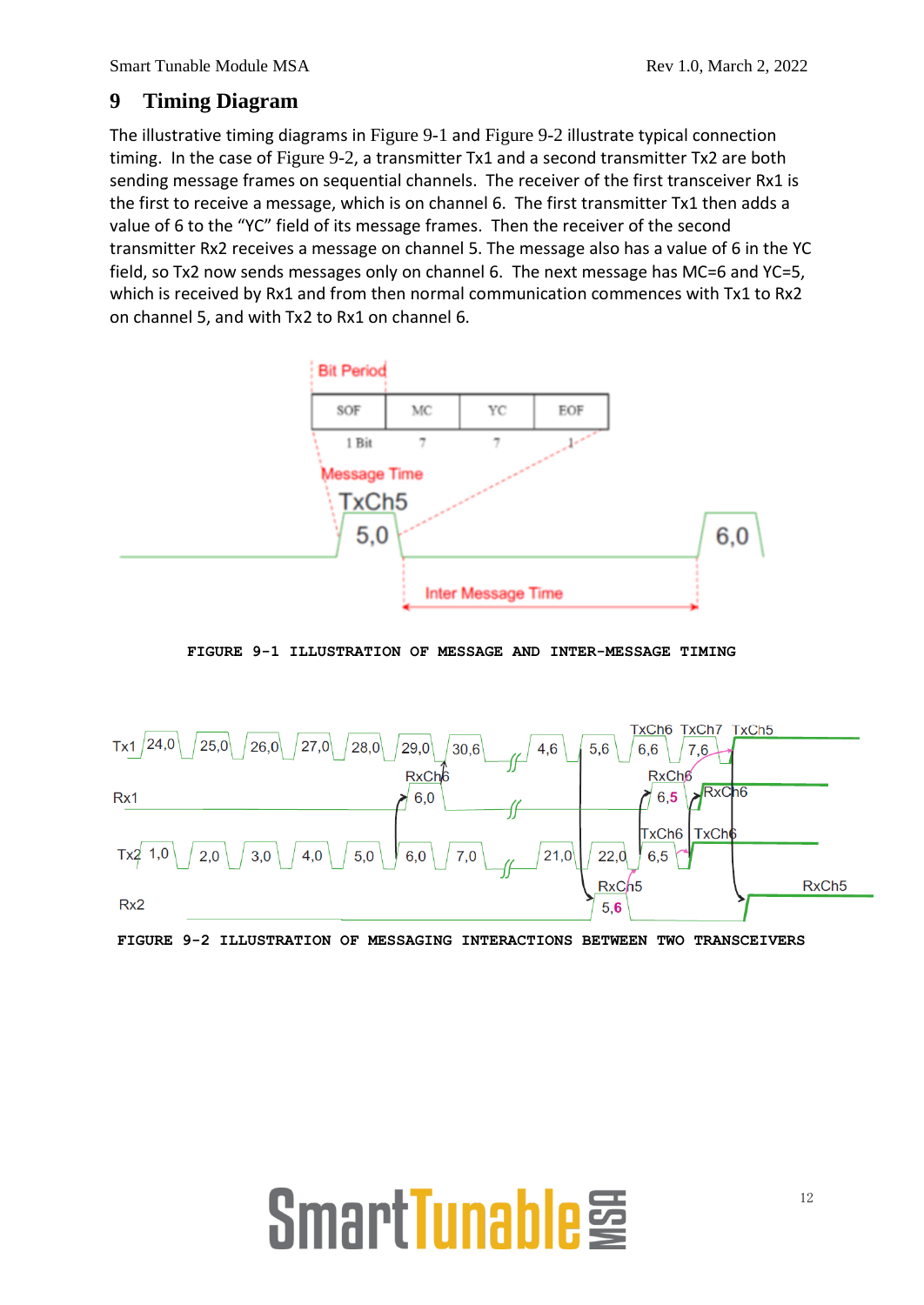### **9 Timing Diagram**

The illustrative timing diagrams in [Figure 9-1](#page-11-0) and [Figure 9-2](#page-11-1) illustrate typical connection timing. In the case of [Figure 9-2](#page-11-1), a transmitter Tx1 and a second transmitter Tx2 are both sending message frames on sequential channels. The receiver of the first transceiver Rx1 is the first to receive a message, which is on channel 6. The first transmitter Tx1 then adds a value of 6 to the "YC" field of its message frames. Then the receiver of the second transmitter Rx2 receives a message on channel 5. The message also has a value of 6 in the YC field, so Tx2 now sends messages only on channel 6. The next message has MC=6 and YC=5, which is received by Rx1 and from then normal communication commences with Tx1 to Rx2 on channel 5, and with Tx2 to Rx1 on channel 6.



**FIGURE 9-1 ILLUSTRATION OF MESSAGE AND INTER-MESSAGE TIMING**

<span id="page-11-0"></span>

<span id="page-11-1"></span>**FIGURE 9-2 ILLUSTRATION OF MESSAGING INTERACTIONS BETWEEN TWO TRANSCEIVERS**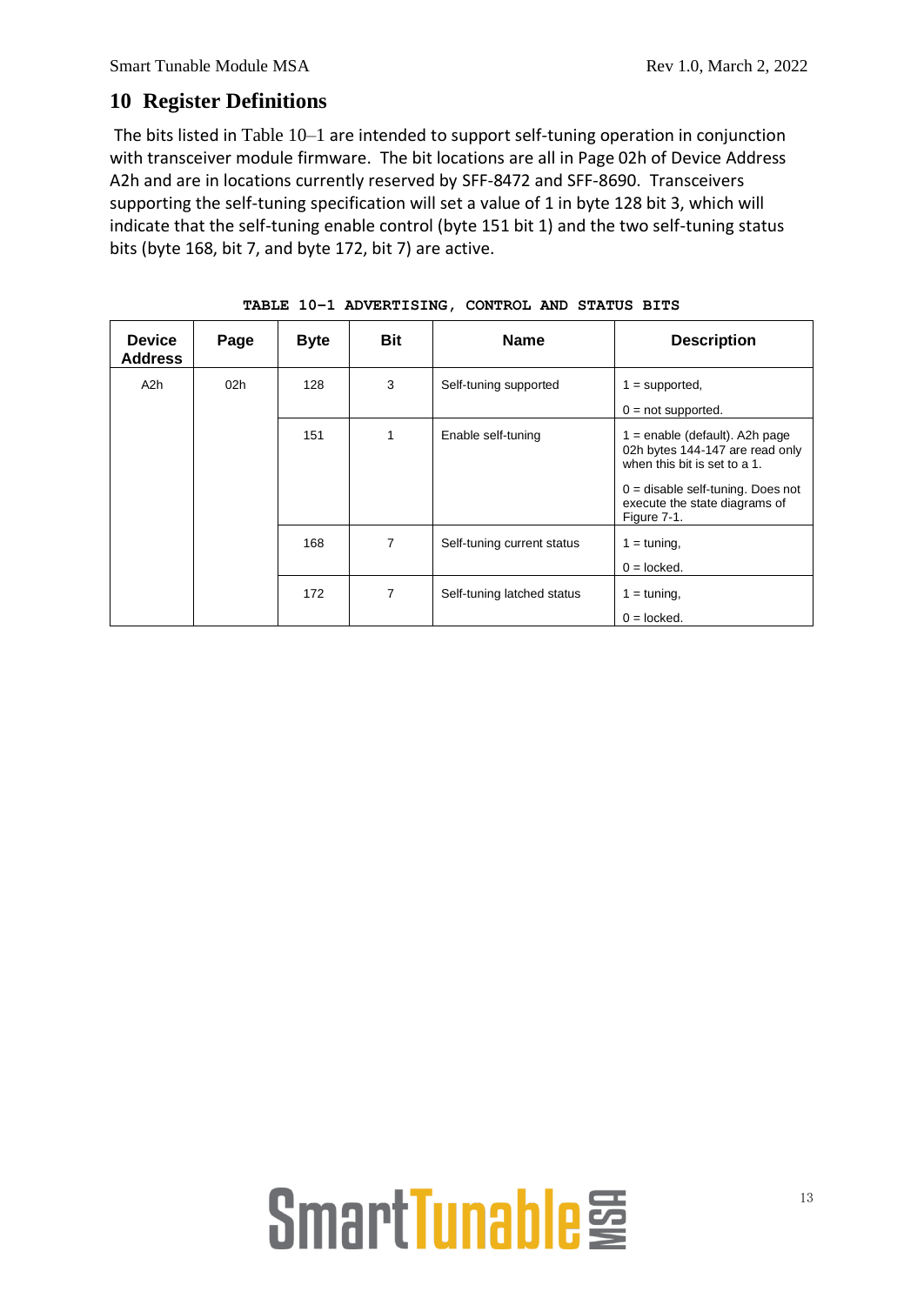### **10 Register Definitions**

The bits listed in [Table 10–1](#page-12-0) are intended to support self-tuning operation in conjunction with transceiver module firmware. The bit locations are all in Page 02h of Device Address A2h and are in locations currently reserved by SFF-8472 and SFF-8690. Transceivers supporting the self-tuning specification will set a value of 1 in byte 128 bit 3, which will indicate that the self-tuning enable control (byte 151 bit 1) and the two self-tuning status bits (byte 168, bit 7, and byte 172, bit 7) are active.

<span id="page-12-0"></span>

| <b>Device</b><br><b>Address</b> | Page            | <b>Byte</b> | <b>Bit</b>     | <b>Name</b>                | <b>Description</b>                                                                                                                                                          |
|---------------------------------|-----------------|-------------|----------------|----------------------------|-----------------------------------------------------------------------------------------------------------------------------------------------------------------------------|
| A <sub>2</sub> h                | 02 <sub>h</sub> | 128         | 3              | Self-tuning supported      | $1 =$ supported,<br>$0 = not supported.$                                                                                                                                    |
|                                 |                 | 151         | 1              | Enable self-tuning         | $1 =$ enable (default). A2h page<br>02h bytes 144-147 are read only<br>when this bit is set to a 1.<br>$0 =$ disable self-tuning. Does not<br>execute the state diagrams of |
|                                 |                 | 168         | $\overline{7}$ | Self-tuning current status | Figure 7-1.<br>$1 = \text{tuning}$ ,<br>$0 =$ locked.                                                                                                                       |
|                                 |                 | 172         | $\overline{7}$ | Self-tuning latched status | $1 = \text{tuning}$ ,<br>$0 =$ locked.                                                                                                                                      |

**TABLE 10–1 ADVERTISING, CONTROL AND STATUS BITS**